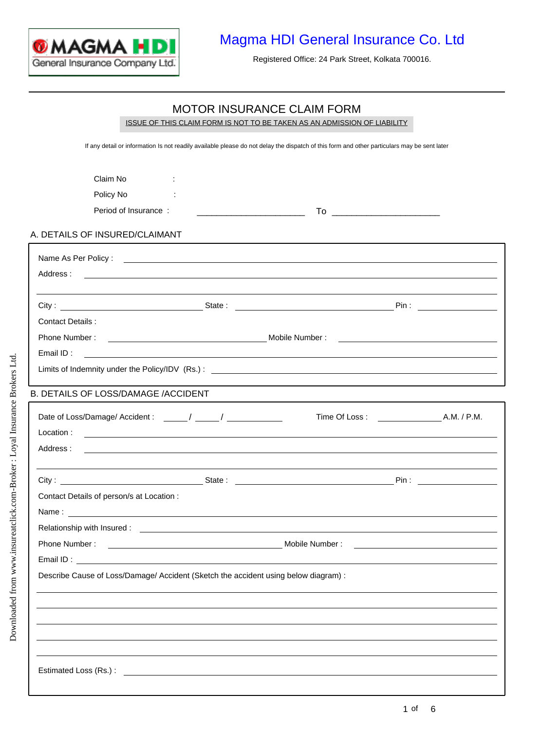

Registered Office: 24 Park Street, Kolkata 700016.

#### MOTOR INSURANCE CLAIM FORM

Claim No : Policy No : Period of Insurance : To \_\_\_\_\_\_\_\_\_\_\_\_\_\_\_\_\_\_\_\_\_\_ \_\_\_\_\_\_\_\_\_\_\_\_\_\_\_\_\_\_\_\_\_\_ A. DETAILS OF INSURED/CLAIMANT Name As Per Policy : <u>contract the contract of the contract of the contract of the contract of the contract of the contract of the contract of the contract of the contract of the contract of the contract of the contract of</u> Address : City : State : State : Pin : Contact Details : Phone Number : Mobile Number : Mobile Number : Email ID : Limits of Indemnity under the Policy/IDV (Rs.) : City : State : State : State : Pin : Pin : Pin : Pin : Pin : Pin : Pin : Pin : Pin : Pin : Pin : Pin : Pin : Pin : Pin : Pin : Pin : Pin : Pin : Pin : Pin : Pin : Pin : Pin : Pin : Pin : Pin : Pin : Pin : Pin : Pin : Pin : Date of Loss/Damage/ Accident : \_\_\_\_\_\_ / \_\_\_\_\_\_ / \_\_\_\_\_\_\_\_\_\_\_\_\_ Time Of Loss : \_\_\_\_\_\_\_\_\_\_\_\_\_\_\_\_\_A.M. / P.M. Address : Contact Details of person/s at Location : Phone Number : Mobile Number : Email ID : Location : Name : Relationship with Insured : B. DETAILS OF LOSS/DAMAGE /ACCIDENT ISSUE OF THIS CLAIM FORM IS NOT TO BE TAKEN AS AN ADMISSION OF LIABILITY If any detail or information Is not readily available please do not delay the dispatch of this form and other particulars may be sent later Describe Cause of Loss/Damage/ Accident (Sketch the accident using below diagram) : Estimated Loss (Rs.) :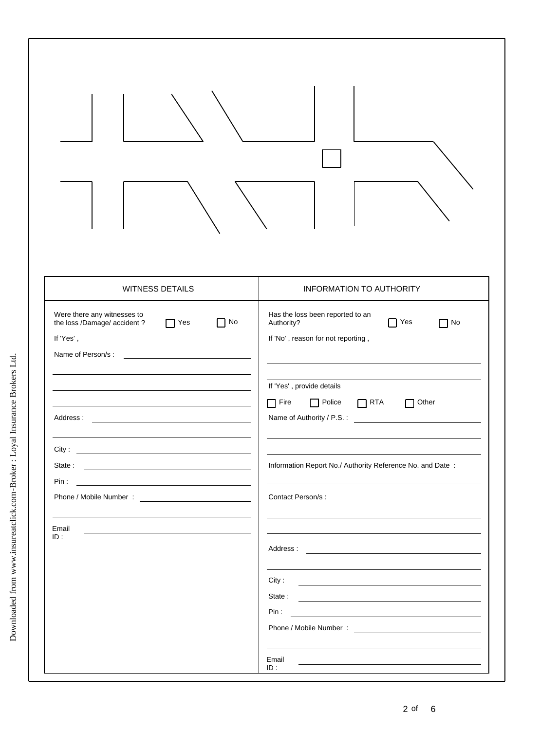| <b>WITNESS DETAILS</b>                                                                                                               | <b>INFORMATION TO AUTHORITY</b>                                                                                                                                                                                                               |
|--------------------------------------------------------------------------------------------------------------------------------------|-----------------------------------------------------------------------------------------------------------------------------------------------------------------------------------------------------------------------------------------------|
| Were there any witnesses to<br>the loss /Damage/ accident?<br>Yes<br>¶ No<br>П<br>If 'Yes',                                          | Has the loss been reported to an<br>Yes<br>Authority?<br>No T<br>If 'No', reason for not reporting,                                                                                                                                           |
| Address:<br><u> 1989 - Johann Barbara, martxa alemaniar a</u>                                                                        | If 'Yes', provide details<br>$\Box$ Police<br>$\Box$ RTA<br>ヿ Fire<br>Other<br>Name of Authority / P.S. :                                                                                                                                     |
|                                                                                                                                      | Information Report No./ Authority Reference No. and Date:                                                                                                                                                                                     |
|                                                                                                                                      |                                                                                                                                                                                                                                               |
| Email<br><u> 1999 - Johann John Stein, markin fan it ferskearre fan it ferskearre fan it ferskearre fan it ferskearre fan</u><br>ID: | <u> 1989 - Johann John Stein, markin fan it ferstjer fan it ferstjer fan it ferstjer fan it ferstjer fan it fers</u>                                                                                                                          |
|                                                                                                                                      | City:<br><u> 1989 - Johann Barn, fransk politik fotograf (d. 1989)</u>                                                                                                                                                                        |
|                                                                                                                                      | Email<br>the control of the control of the control of the control of the control of the control of the control of the control of the control of the control of the control of the control of the control of the control of the control<br>ID: |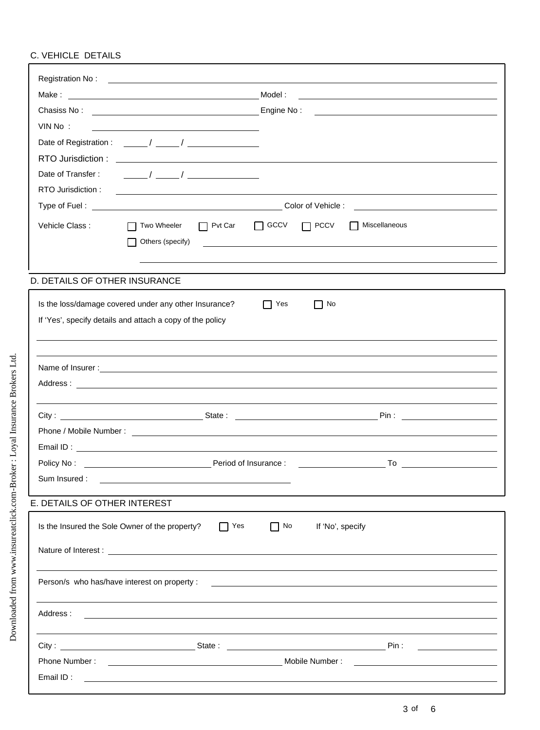# C. VEHICLE DETAILS

|                               | Model:<br><u> 1989 - Jan James James Jan James James Jan James James James James James James James James James James James</u>                                                                                                                                                                                                                    |  |
|-------------------------------|---------------------------------------------------------------------------------------------------------------------------------------------------------------------------------------------------------------------------------------------------------------------------------------------------------------------------------------------------|--|
|                               |                                                                                                                                                                                                                                                                                                                                                   |  |
| VIN No:                       |                                                                                                                                                                                                                                                                                                                                                   |  |
|                               |                                                                                                                                                                                                                                                                                                                                                   |  |
|                               |                                                                                                                                                                                                                                                                                                                                                   |  |
| Date of Transfer:             | $\frac{1}{\sqrt{2\pi}}$ / $\frac{1}{\sqrt{2\pi}}$ / $\frac{1}{\sqrt{2\pi}}$ / $\frac{1}{\sqrt{2\pi}}$ / $\frac{1}{\sqrt{2\pi}}$ / $\frac{1}{\sqrt{2\pi}}$ / $\frac{1}{\sqrt{2\pi}}$ / $\frac{1}{\sqrt{2\pi}}$ / $\frac{1}{\sqrt{2\pi}}$ / $\frac{1}{\sqrt{2\pi}}$ / $\frac{1}{\sqrt{2\pi}}$ / $\frac{1}{\sqrt{2\pi}}$ / $\frac{1}{\sqrt{2\pi}}$ / |  |
| RTO Jurisdiction:             |                                                                                                                                                                                                                                                                                                                                                   |  |
|                               |                                                                                                                                                                                                                                                                                                                                                   |  |
| Vehicle Class:                | $\Box$ GCCV<br>Miscellaneous<br>$\Box$ Pvt Car<br>$\Box$ PCCV<br>Two Wheeler<br>Others (specify)                                                                                                                                                                                                                                                  |  |
| D. DETAILS OF OTHER INSURANCE |                                                                                                                                                                                                                                                                                                                                                   |  |
|                               | Is the loss/damage covered under any other Insurance?<br>No<br>Yes<br>$\mathsf{L}$<br>$\mathbf{I}$<br>If 'Yes', specify details and attach a copy of the policy                                                                                                                                                                                   |  |
|                               |                                                                                                                                                                                                                                                                                                                                                   |  |
|                               |                                                                                                                                                                                                                                                                                                                                                   |  |
|                               |                                                                                                                                                                                                                                                                                                                                                   |  |
|                               |                                                                                                                                                                                                                                                                                                                                                   |  |
|                               |                                                                                                                                                                                                                                                                                                                                                   |  |
|                               |                                                                                                                                                                                                                                                                                                                                                   |  |
|                               |                                                                                                                                                                                                                                                                                                                                                   |  |
| Policy No:                    | Period of Insurance :                                                                                                                                                                                                                                                                                                                             |  |
| Sum Insured :                 | <u> 1989 - Johann Stoff, deutscher Stoff, der Stoff, der Stoff, der Stoff, der Stoff, der Stoff, der Stoff, der S</u>                                                                                                                                                                                                                             |  |
| E. DETAILS OF OTHER INTEREST  |                                                                                                                                                                                                                                                                                                                                                   |  |
|                               | Is the Insured the Sole Owner of the property?<br>$\Box$ Yes<br>$\Box$ No<br>If 'No', specify                                                                                                                                                                                                                                                     |  |
|                               |                                                                                                                                                                                                                                                                                                                                                   |  |
|                               |                                                                                                                                                                                                                                                                                                                                                   |  |
| Address :                     | <u> 1980 - Andrea Andrew Maria (h. 1980).</u>                                                                                                                                                                                                                                                                                                     |  |
|                               |                                                                                                                                                                                                                                                                                                                                                   |  |
|                               |                                                                                                                                                                                                                                                                                                                                                   |  |
|                               |                                                                                                                                                                                                                                                                                                                                                   |  |
|                               |                                                                                                                                                                                                                                                                                                                                                   |  |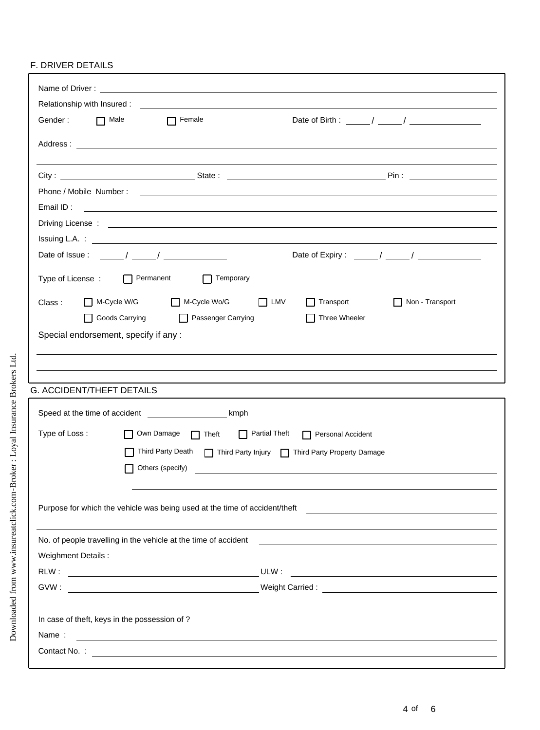### F. DRIVER DETAILS

|                                  | Relationship with Insured: Note that the state of the state of the state of the state of the state of the state of the state of the state of the state of the state of the state of the state of the state of the state of the |                                                                                                                                                                                                                                      |
|----------------------------------|--------------------------------------------------------------------------------------------------------------------------------------------------------------------------------------------------------------------------------|--------------------------------------------------------------------------------------------------------------------------------------------------------------------------------------------------------------------------------------|
|                                  | Gender: <b>n</b> Male <b>n</b> Female                                                                                                                                                                                          | Date of Birth : $\frac{1}{2}$ / $\frac{1}{2}$ / $\frac{1}{2}$ / $\frac{1}{2}$ / $\frac{1}{2}$ / $\frac{1}{2}$                                                                                                                        |
|                                  |                                                                                                                                                                                                                                |                                                                                                                                                                                                                                      |
|                                  |                                                                                                                                                                                                                                |                                                                                                                                                                                                                                      |
|                                  |                                                                                                                                                                                                                                |                                                                                                                                                                                                                                      |
|                                  |                                                                                                                                                                                                                                |                                                                                                                                                                                                                                      |
|                                  |                                                                                                                                                                                                                                |                                                                                                                                                                                                                                      |
|                                  |                                                                                                                                                                                                                                |                                                                                                                                                                                                                                      |
|                                  |                                                                                                                                                                                                                                | Driving License : <u>example and the contract of the contract of the contract of the contract of the contract of the contract of the contract of the contract of the contract of the contract of the contract of the contract of</u> |
|                                  |                                                                                                                                                                                                                                |                                                                                                                                                                                                                                      |
|                                  | Date of Issue : $\frac{1}{2}$ / $\frac{1}{2}$ / $\frac{1}{2}$                                                                                                                                                                  | Date of Expiry: $\frac{1}{2}$ / $\frac{1}{2}$ / $\frac{1}{2}$                                                                                                                                                                        |
|                                  | Type of License : □ Permanent □ □ Temporary                                                                                                                                                                                    |                                                                                                                                                                                                                                      |
| Class:                           | M-Cycle W/G M-Cycle Wo/G                                                                                                                                                                                                       | $\Box$ LMV<br>Non - Transport<br>$\Box$ Transport                                                                                                                                                                                    |
|                                  | □ Goods Carrying □ Passenger Carrying                                                                                                                                                                                          | $\Box$ Three Wheeler                                                                                                                                                                                                                 |
|                                  | Special endorsement, specify if any :                                                                                                                                                                                          |                                                                                                                                                                                                                                      |
|                                  |                                                                                                                                                                                                                                |                                                                                                                                                                                                                                      |
|                                  |                                                                                                                                                                                                                                |                                                                                                                                                                                                                                      |
| <b>G. ACCIDENT/THEFT DETAILS</b> |                                                                                                                                                                                                                                |                                                                                                                                                                                                                                      |
|                                  |                                                                                                                                                                                                                                |                                                                                                                                                                                                                                      |
| Type of Loss:                    |                                                                                                                                                                                                                                | Own Damage nieft nieft night and Accident                                                                                                                                                                                            |
|                                  |                                                                                                                                                                                                                                | Third Party Death $\Box$ Third Party Injury $\Box$ Third Party Property Damage                                                                                                                                                       |
|                                  | Others (specify)                                                                                                                                                                                                               |                                                                                                                                                                                                                                      |
|                                  |                                                                                                                                                                                                                                |                                                                                                                                                                                                                                      |
|                                  |                                                                                                                                                                                                                                |                                                                                                                                                                                                                                      |
|                                  |                                                                                                                                                                                                                                |                                                                                                                                                                                                                                      |
|                                  | No. of people travelling in the vehicle at the time of accident                                                                                                                                                                | <u> 1980 - Antonio Alemania, politikar politikar (h. 1980)</u>                                                                                                                                                                       |
| Weighment Details :              |                                                                                                                                                                                                                                |                                                                                                                                                                                                                                      |
|                                  |                                                                                                                                                                                                                                |                                                                                                                                                                                                                                      |
|                                  |                                                                                                                                                                                                                                |                                                                                                                                                                                                                                      |
|                                  |                                                                                                                                                                                                                                |                                                                                                                                                                                                                                      |
|                                  | In case of theft, keys in the possession of ?                                                                                                                                                                                  |                                                                                                                                                                                                                                      |
| Name:                            |                                                                                                                                                                                                                                | <u> 1989 - Johann Stein, marwolaethau a bhann an chomhair an chomhair an chomhair an chomhair an chomhair an ch</u>                                                                                                                  |
|                                  |                                                                                                                                                                                                                                |                                                                                                                                                                                                                                      |
|                                  |                                                                                                                                                                                                                                |                                                                                                                                                                                                                                      |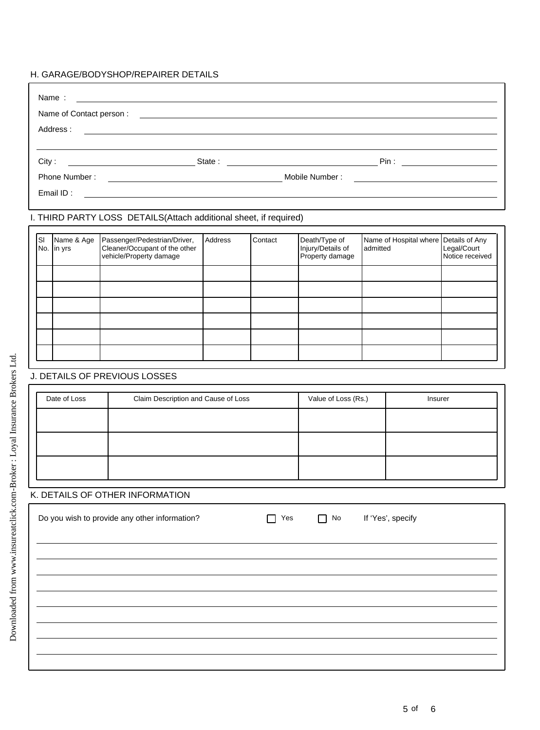### H. GARAGE/BODYSHOP/REPAIRER DETAILS

| Name:<br>the control of the control of the control of the control of the control of the control of the control of the control of the control of the control of the control of the control of the control of the control of the control |                          |                                                                                          |         |         |                                                       |                                                   |  |                                |
|----------------------------------------------------------------------------------------------------------------------------------------------------------------------------------------------------------------------------------------|--------------------------|------------------------------------------------------------------------------------------|---------|---------|-------------------------------------------------------|---------------------------------------------------|--|--------------------------------|
|                                                                                                                                                                                                                                        |                          |                                                                                          |         |         |                                                       |                                                   |  |                                |
|                                                                                                                                                                                                                                        |                          |                                                                                          |         |         |                                                       |                                                   |  |                                |
|                                                                                                                                                                                                                                        |                          |                                                                                          |         |         |                                                       |                                                   |  |                                |
|                                                                                                                                                                                                                                        | City:                    |                                                                                          |         |         |                                                       |                                                   |  |                                |
|                                                                                                                                                                                                                                        |                          |                                                                                          |         |         |                                                       |                                                   |  |                                |
|                                                                                                                                                                                                                                        |                          |                                                                                          |         |         |                                                       |                                                   |  |                                |
|                                                                                                                                                                                                                                        |                          | I. THIRD PARTY LOSS DETAILS(Attach additional sheet, if required)                        |         |         |                                                       |                                                   |  |                                |
| SI                                                                                                                                                                                                                                     | Name & Age<br>No. in yrs | Passenger/Pedestrian/Driver,<br>Cleaner/Occupant of the other<br>vehicle/Property damage | Address | Contact | Death/Type of<br>Injury/Details of<br>Property damage | Name of Hospital where Details of Any<br>admitted |  | Legal/Court<br>Notice received |
|                                                                                                                                                                                                                                        |                          |                                                                                          |         |         |                                                       |                                                   |  |                                |
|                                                                                                                                                                                                                                        |                          |                                                                                          |         |         |                                                       |                                                   |  |                                |
|                                                                                                                                                                                                                                        |                          |                                                                                          |         |         |                                                       |                                                   |  |                                |
|                                                                                                                                                                                                                                        |                          |                                                                                          |         |         |                                                       |                                                   |  |                                |
|                                                                                                                                                                                                                                        |                          |                                                                                          |         |         |                                                       |                                                   |  |                                |
|                                                                                                                                                                                                                                        |                          | J. DETAILS OF PREVIOUS LOSSES                                                            |         |         |                                                       |                                                   |  |                                |
|                                                                                                                                                                                                                                        |                          |                                                                                          |         |         |                                                       |                                                   |  |                                |
|                                                                                                                                                                                                                                        | Date of Loss             | Claim Description and Cause of Loss                                                      |         |         | Value of Loss (Rs.)<br>Insurer                        |                                                   |  |                                |
|                                                                                                                                                                                                                                        |                          |                                                                                          |         |         |                                                       |                                                   |  |                                |
|                                                                                                                                                                                                                                        |                          |                                                                                          |         |         |                                                       |                                                   |  |                                |
|                                                                                                                                                                                                                                        |                          |                                                                                          |         |         |                                                       |                                                   |  |                                |
|                                                                                                                                                                                                                                        |                          |                                                                                          |         |         |                                                       |                                                   |  |                                |
|                                                                                                                                                                                                                                        |                          | K. DETAILS OF OTHER INFORMATION                                                          |         |         |                                                       |                                                   |  |                                |
| Do you wish to provide any other information?<br>If 'Yes', specify<br>No<br>Yes<br>- 1                                                                                                                                                 |                          |                                                                                          |         |         |                                                       |                                                   |  |                                |
|                                                                                                                                                                                                                                        |                          |                                                                                          |         |         |                                                       |                                                   |  |                                |
|                                                                                                                                                                                                                                        |                          |                                                                                          |         |         |                                                       |                                                   |  |                                |
|                                                                                                                                                                                                                                        |                          |                                                                                          |         |         |                                                       |                                                   |  |                                |
|                                                                                                                                                                                                                                        |                          |                                                                                          |         |         |                                                       |                                                   |  |                                |
|                                                                                                                                                                                                                                        |                          |                                                                                          |         |         |                                                       |                                                   |  |                                |
|                                                                                                                                                                                                                                        |                          |                                                                                          |         |         |                                                       |                                                   |  |                                |
|                                                                                                                                                                                                                                        |                          |                                                                                          |         |         |                                                       |                                                   |  |                                |
|                                                                                                                                                                                                                                        |                          |                                                                                          |         |         |                                                       |                                                   |  |                                |